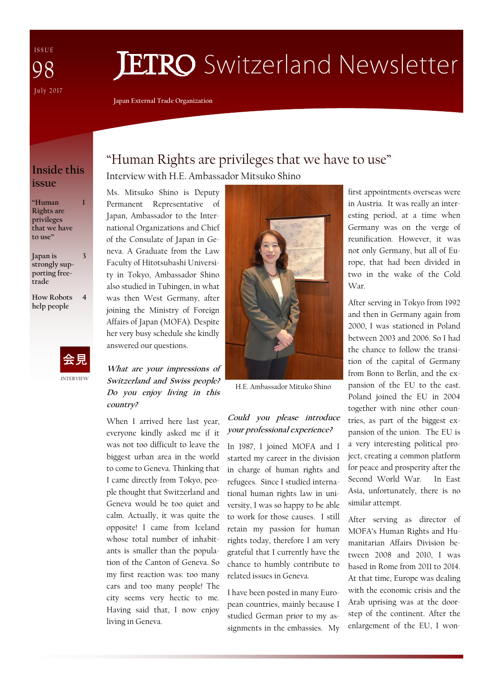I S S U E July 2017 98

# **JETRO** Switzerland Newsletter

**Japan External Trade Organization** 

# **Inside this issue**

**1** 

**"Human Rights are privileges that we have to use"** 

**Japan is strongly supporting freetrade 3** 

**How Robots help people 4** 



# "Human Rights are privileges that we have to use" Interview with H.E. Ambassador Mitsuko Shino

Ms. Mitsuko Shino is Deputy Permanent Representative of Japan, Ambassador to the International Organizations and Chief of the Consulate of Japan in Geneva. A Graduate from the Law Faculty of Hitotsubashi University in Tokyo, Ambassador Shino also studied in Tubingen, in what was then West Germany, after joining the Ministry of Foreign Affairs of Japan (MOFA). Despite her very busy schedule she kindly answered our questions.

**What are your impressions of Switzerland and Swiss people? Do you enjoy living in this country?** 

When I arrived here last year, everyone kindly asked me if it was not too difficult to leave the biggest urban area in the world to come to Geneva. Thinking that I came directly from Tokyo, people thought that Switzerland and Geneva would be too quiet and calm. Actually, it was quite the opposite! I came from Iceland whose total number of inhabitants is smaller than the population of the Canton of Geneva. So my first reaction was: too many cars and too many people! The city seems very hectic to me. Having said that, I now enjoy living in Geneva.



H.E. Ambassador Mituko Shino

## **Could you please introduce your professional experience?**

In 1987, I joined MOFA and I started my career in the division in charge of human rights and refugees. Since I studied international human rights law in university, I was so happy to be able to work for those causes. I still retain my passion for human rights today, therefore I am very grateful that I currently have the chance to humbly contribute to related issues in Geneva.

I have been posted in many European countries, mainly because I studied German prior to my assignments in the embassies. My

first appointments overseas were in Austria. It was really an interesting period, at a time when Germany was on the verge of reunification. However, it was not only Germany, but all of Europe, that had been divided in two in the wake of the Cold War.

After serving in Tokyo from 1992 and then in Germany again from 2000, I was stationed in Poland between 2003 and 2006. So I had the chance to follow the transition of the capital of Germany from Bonn to Berlin, and the expansion of the EU to the east. Poland joined the EU in 2004 together with nine other countries, as part of the biggest expansion of the union. The EU is a very interesting political project, creating a common platform for peace and prosperity after the Second World War. In East Asia, unfortunately, there is no similar attempt.

After serving as director of MOFA's Human Rights and Humanitarian Affairs Division between 2008 and 2010, I was based in Rome from 2011 to 2014. At that time, Europe was dealing with the economic crisis and the Arab uprising was at the doorstep of the continent. After the enlargement of the EU, I won-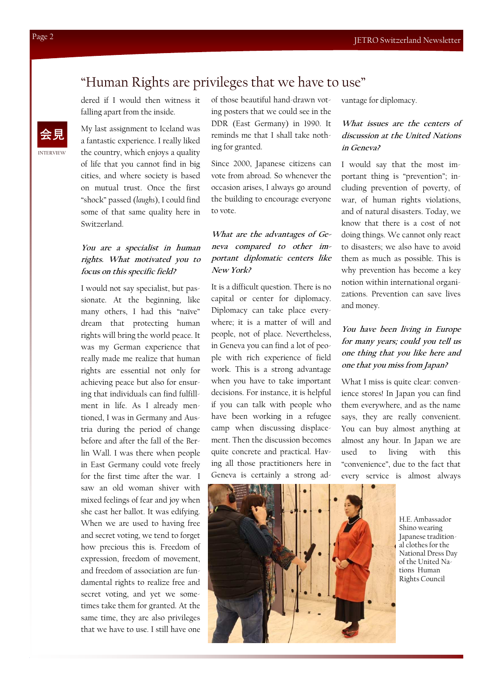# "Human Rights are privileges that we have to use"

dered if I would then witness it falling apart from the inside.

My last assignment to Iceland was a fantastic experience. I really liked the country, which enjoys a quality of life that you cannot find in big cities, and where society is based on mutual trust. Once the first "shock" passed (*laughs*), I could find some of that same quality here in Switzerland.

### **You are a specialist in human rights. What motivated you to focus on this specific field?**

I would not say specialist, but passionate. At the beginning, like many others, I had this "naïve" dream that protecting human rights will bring the world peace. It was my German experience that really made me realize that human rights are essential not only for achieving peace but also for ensuring that individuals can find fulfillment in life. As I already mentioned, I was in Germany and Austria during the period of change before and after the fall of the Berlin Wall. I was there when people in East Germany could vote freely for the first time after the war. I saw an old woman shiver with mixed feelings of fear and joy when she cast her ballot. It was edifying. When we are used to having free and secret voting, we tend to forget how precious this is. Freedom of expression, freedom of movement, and freedom of association are fundamental rights to realize free and secret voting, and yet we sometimes take them for granted. At the same time, they are also privileges that we have to use. I still have one

of those beautiful hand-drawn voting posters that we could see in the DDR (East Germany) in 1990. It reminds me that I shall take nothing for granted.

Since 2000, Japanese citizens can vote from abroad. So whenever the occasion arises, I always go around the building to encourage everyone to vote.

### **What are the advantages of Geneva compared to other important diplomatic centers like New York?**

It is a difficult question. There is no capital or center for diplomacy. Diplomacy can take place everywhere; it is a matter of will and people, not of place. Nevertheless, in Geneva you can find a lot of people with rich experience of field work. This is a strong advantage when you have to take important decisions. For instance, it is helpful if you can talk with people who have been working in a refugee camp when discussing displacement. Then the discussion becomes quite concrete and practical. Having all those practitioners here in Geneva is certainly a strong advantage for diplomacy.

## **What issues are the centers of discussion at the United Nations in Geneva?**

I would say that the most important thing is "prevention"; including prevention of poverty, of war, of human rights violations, and of natural disasters. Today, we know that there is a cost of not doing things. We cannot only react to disasters; we also have to avoid them as much as possible. This is why prevention has become a key notion within international organizations. Prevention can save lives and money.

## **You have been living in Europe for many years; could you tell us one thing that you like here and one that you miss from Japan?**

What I miss is quite clear: convenience stores! In Japan you can find them everywhere, and as the name says, they are really convenient. You can buy almost anything at almost any hour. In Japan we are used to living with this "convenience", due to the fact that every service is almost always



H.E. Ambassador Shino wearing Japanese traditional clothes for the National Dress Day of the United Nations Human Rights Council

INTERVIEW 会見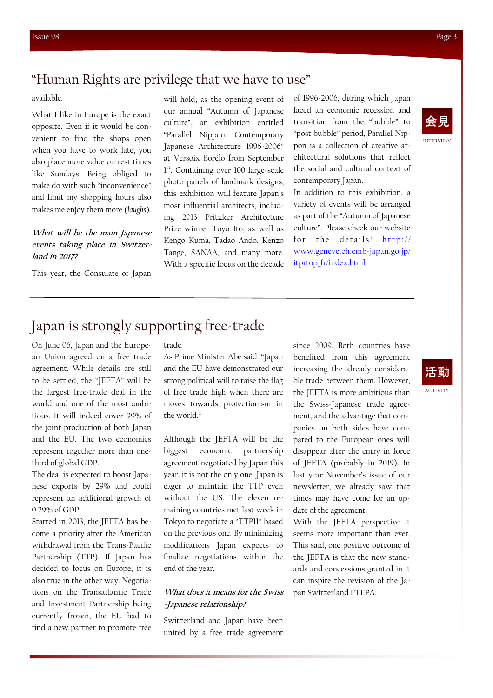## "Human Rights are privilege that we have to use"

available.

What I like in Europe is the exact opposite. Even if it would be convenient to find the shops open when you have to work late, you also place more value on rest times like Sundays. Being obliged to make do with such "inconvenience" and limit my shopping hours also makes me enjoy them more (*laughs*).

#### **What will be the main Japanese events taking place in Switzerland in 2017?**

This year, the Consulate of Japan

will hold, as the opening event of our annual "Autumn of Japanese culture", an exhibition entitled "Parallel Nippon: Contemporary Japanese Architecture 1996-2006" at Versoix Borélo from September 1<sup>st</sup>. Containing over 100 large-scale photo panels of landmark designs, this exhibition will feature Japan's most influential architects, including 2013 Pritzker Architecture Prize winner Toyo Ito, as well as Kengo Kuma, Tadao Ando, Kenzo Tange, SANAA, and many more. With a specific focus on the decade

of 1996-2006, during which Japan faced an economic recession and transition from the "bubble" to "post bubble" period, Parallel Nippon is a collection of creative architectural solutions that reflect the social and cultural context of contemporary Japan.

In addition to this exhibition, a variety of events will be arranged as part of the "Autumn of Japanese culture". Please check our website for the details! http:// www.geneve.ch.emb-japan.go.jp/ itprtop\_fr/index.html

# INTERVIEW 会見

# Japan is strongly supporting free-trade

On June 06, Japan and the European Union agreed on a free trade agreement. While details are still to be settled, the "JEFTA" will be the largest free-trade deal in the world and one of the most ambitious. It will indeed cover 99% of the joint production of both Japan and the EU. The two economies represent together more than onethird of global GDP.

The deal is expected to boost Japanese exports by 29% and could represent an additional growth of 0.29% of GDP.

Started in 2013, the JEFTA has become a priority after the American withdrawal from the Trans-Pacific Partnership (TTP). If Japan has decided to focus on Europe, it is also true in the other way. Negotiations on the Transatlantic Trade and Investment Partnership being currently frozen, the EU had to find a new partner to promote free

trade.

As Prime Minister Abe said: "Japan and the EU have demonstrated our strong political will to raise the flag of free trade high when there are moves towards protectionism in the world."

Although the JEFTA will be the biggest economic partnership agreement negotiated by Japan this year, it is not the only one. Japan is eager to maintain the TTP even without the US. The eleven remaining countries met last week in Tokyo to negotiate a "TTP11" based on the previous one. By minimizing modifications Japan expects to finalize negotiations within the end of the year.

#### **What does it means for the Swiss -Japanese relationship?**

Switzerland and Japan have been united by a free trade agreement

since 2009. Both countries have benefited from this agreement increasing the already considerable trade between them. However, the JEFTA is more ambitious than the Swiss-Japanese trade agreement, and the advantage that companies on both sides have compared to the European ones will disappear after the entry in force of JEFTA (probably in 2019). In last year November's issue of our newsletter, we already saw that times may have come for an update of the agreement.

With the JEFTA perspective it seems more important than ever. This said, one positive outcome of the JEFTA is that the new standards and concessions granted in it can inspire the revision of the Japan Switzerland FTEPA.



ACTIVITY